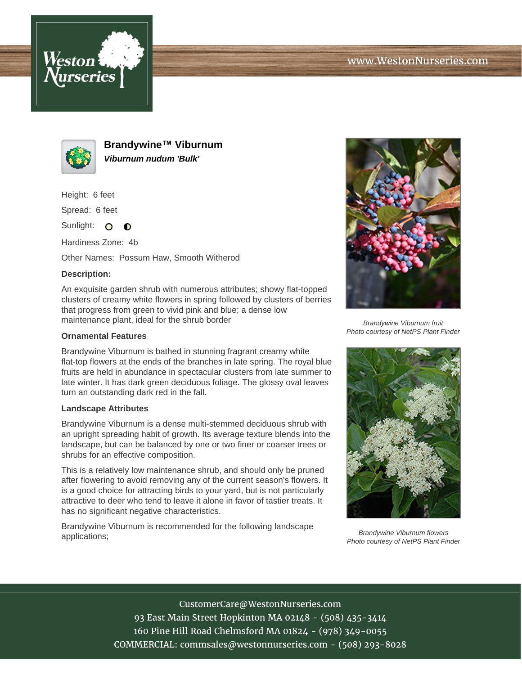



**Brandywine™ Viburnum Viburnum nudum 'Bulk'**

Height: 6 feet

Spread: 6 feet

Sunlight: O  $\bullet$ 

Hardiness Zone: 4b

Other Names: Possum Haw, Smooth Witherod

## **Description:**

An exquisite garden shrub with numerous attributes; showy flat-topped clusters of creamy white flowers in spring followed by clusters of berries that progress from green to vivid pink and blue; a dense low maintenance plant, ideal for the shrub border

## **Ornamental Features**

Brandywine Viburnum is bathed in stunning fragrant creamy white flat-top flowers at the ends of the branches in late spring. The royal blue fruits are held in abundance in spectacular clusters from late summer to late winter. It has dark green deciduous foliage. The glossy oval leaves turn an outstanding dark red in the fall.

## **Landscape Attributes**

Brandywine Viburnum is a dense multi-stemmed deciduous shrub with an upright spreading habit of growth. Its average texture blends into the landscape, but can be balanced by one or two finer or coarser trees or shrubs for an effective composition.

This is a relatively low maintenance shrub, and should only be pruned after flowering to avoid removing any of the current season's flowers. It is a good choice for attracting birds to your yard, but is not particularly attractive to deer who tend to leave it alone in favor of tastier treats. It has no significant negative characteristics.

Brandywine Viburnum is recommended for the following landscape applications;



Brandywine Viburnum fruit Photo courtesy of NetPS Plant Finder



Brandywine Viburnum flowers Photo courtesy of NetPS Plant Finder

CustomerCare@WestonNurseries.com 93 East Main Street Hopkinton MA 02148 - (508) 435-3414 160 Pine Hill Road Chelmsford MA 01824 - (978) 349-0055 COMMERCIAL: commsales@westonnurseries.com - (508) 293-8028